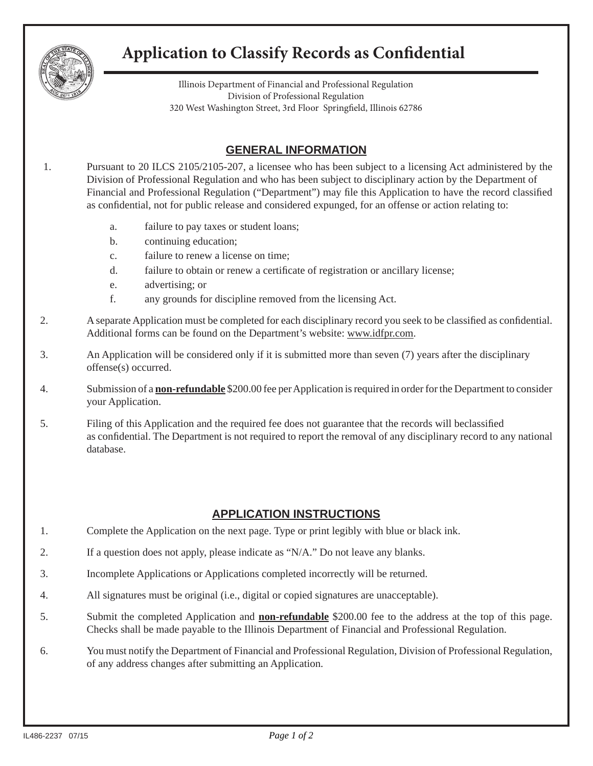

## **Application to Classify Records as Confidential**

Illinois Department of Financial and Professional Regulation Division of Professional Regulation 320 West Washington Street, 3rd Floor Springfield, Illinois 62786

## **GENERAL INFORMATION**

1. Pursuant to 20 ILCS 2105/2105-207, a licensee who has been subject to a licensing Act administered by the Division of Professional Regulation and who has been subject to disciplinary action by the Department of Financial and Professional Regulation ("Department") may file this Application to have the record classified as confidential, not for public release and considered expunged, for an offense or action relating to:

- a. failure to pay taxes or student loans;
- b. continuing education;
- c. failure to renew a license on time;
- d. failure to obtain or renew a certificate of registration or ancillary license;
- e. advertising; or
- f. any grounds for discipline removed from the licensing Act.
- 2. A separate Application must be completed for each disciplinary record you seek to be classified as confidential. Additional forms can be found on the Department's website: www.idfpr.com.
- 3. An Application will be considered only if it is submitted more than seven (7) years after the disciplinary offense(s) occurred.
- 4. Submission of a **non-refundable** \$200.00 fee per Application is required in order for the Department to consider your Application.
- 5. Filing of this Application and the required fee does not guarantee that the records will beclassified as confidential. The Department is not required to report the removal of any disciplinary record to any national database.

## **APPLICATION INSTRUCTIONS**

- 1. Complete the Application on the next page. Type or print legibly with blue or black ink.
- 2. If a question does not apply, please indicate as "N/A." Do not leave any blanks.
- 3. Incomplete Applications or Applications completed incorrectly will be returned.
- 4. All signatures must be original (i.e., digital or copied signatures are unacceptable).
- 5. Submit the completed Application and **non-refundable** \$200.00 fee to the address at the top of this page. Checks shall be made payable to the Illinois Department of Financial and Professional Regulation.
- 6. You must notify the Department of Financial and Professional Regulation, Division of Professional Regulation, of any address changes after submitting an Application.